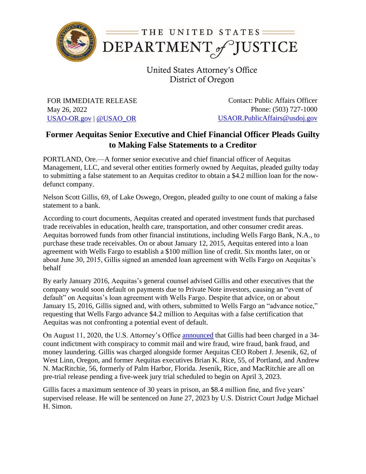

United States Attorney's Office District of Oregon

FOR IMMEDIATE RELEASE May 26, 2022 [USAO-OR.gov](http://www.usdoj.gov/usao/or) | [@USAO\\_OR](https://twitter.com/USAO_OR)

Contact: Public Affairs Officer Phone: (503) 727-1000 [USAOR.PublicAffairs@usdoj.gov](mailto:usaor.publicaffairs@usdoj.gov)

## **Former Aequitas Senior Executive and Chief Financial Officer Pleads Guilty to Making False Statements to a Creditor**

PORTLAND, Ore.—A former senior executive and chief financial officer of Aequitas Management, LLC, and several other entities formerly owned by Aequitas, pleaded guilty today to submitting a false statement to an Aequitas creditor to obtain a \$4.2 million loan for the nowdefunct company.

Nelson Scott Gillis, 69, of Lake Oswego, Oregon, pleaded guilty to one count of making a false statement to a bank.

According to court documents, Aequitas created and operated investment funds that purchased trade receivables in education, health care, transportation, and other consumer credit areas. Aequitas borrowed funds from other financial institutions, including Wells Fargo Bank, N.A., to purchase these trade receivables. On or about January 12, 2015, Aequitas entered into a loan agreement with Wells Fargo to establish a \$100 million line of credit. Six months later, on or about June 30, 2015, Gillis signed an amended loan agreement with Wells Fargo on Aequitas's behalf

By early January 2016, Aequitas's general counsel advised Gillis and other executives that the company would soon default on payments due to Private Note investors, causing an "event of default" on Aequitas's loan agreement with Wells Fargo. Despite that advice, on or about January 15, 2016, Gillis signed and, with others, submitted to Wells Fargo an "advance notice," requesting that Wells Fargo advance \$4.2 million to Aequitas with a false certification that Aequitas was not confronting a potential event of default.

On August 11, 2020, the U.S. Attorney's Office [announced](https://www.justice.gov/usao-or/pr/former-aequitas-ceo-and-senior-executives-indicted-fraud-and-money-laundering-conspiracy) that Gillis had been charged in a 34 count indictment with conspiracy to commit mail and wire fraud, wire fraud, bank fraud, and money laundering. Gillis was charged alongside former Aequitas CEO Robert J. Jesenik, 62, of West Linn, Oregon, and former Aequitas executives Brian K. Rice, 55, of Portland, and Andrew N. MacRitchie, 56, formerly of Palm Harbor, Florida. Jesenik, Rice, and MacRitchie are all on pre-trial release pending a five-week jury trial scheduled to begin on April 3, 2023.

Gillis faces a maximum sentence of 30 years in prison, an \$8.4 million fine, and five years' supervised release. He will be sentenced on June 27, 2023 by U.S. District Court Judge Michael H. Simon.